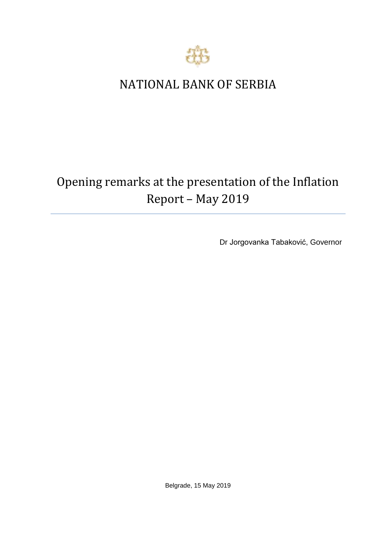

## NATIONAL BANK OF SERBIA

# Opening remarks at the presentation of the Inflation Report – May 2019

Dr Jorgovanka Tabaković, Governor

Belgrade, 15 May 2019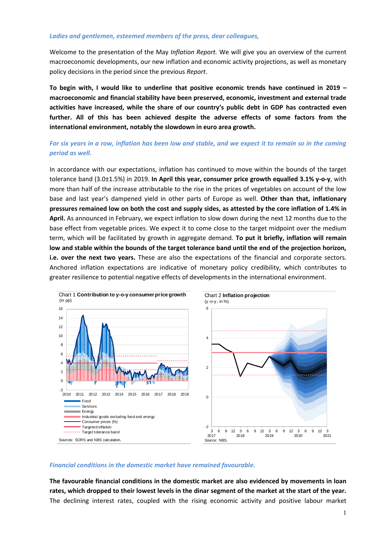#### *Ladies and gentlemen, esteemed members of the press, dear colleagues,*

Welcome to the presentation of the May *Inflation Report.* We will give you an overview of the current macroeconomic developments, our new inflation and economic activity projections, as well as monetary policy decisions in the period since the previous *Report*.

**To begin with, I would like to underline that positive economic trends have continued in 2019 – macroeconomic and financial stability have been preserved, economic, investment and external trade activities have increased, while the share of our country's public debt in GDP has contracted even further. All of this has been achieved despite the adverse effects of some factors from the international environment, notably the slowdown in euro area growth.**

### *For six years in a row, inflation has been low and stable, and we expect it to remain so in the coming period as well.*

In accordance with our expectations, inflation has continued to move within the bounds of the target tolerance band (3.0±1.5%) in 2019. **In April this year, consumer price growth equalled 3.1% y-o-y**, with more than half of the increase attributable to the rise in the prices of vegetables on account of the low base and last year's dampened yield in other parts of Europe as well. **Other than that, inflationary pressures remained low on both the cost and supply sides, as attested by the core inflation of 1.4% in April.** As announced in February, we expect inflation to slow down during the next 12 months due to the base effect from vegetable prices. We expect it to come close to the target midpoint over the medium term, which will be facilitated by growth in aggregate demand. **To put it briefly, inflation will remain low and stable within the bounds of the target tolerance band until the end of the projection horizon, i.e. over the next two years.** These are also the expectations of the financial and corporate sectors. Anchored inflation expectations are indicative of monetary policy credibility, which contributes to greater resilience to potential negative effects of developments in the international environment.



#### *Financial conditions in the domestic market have remained favourable.*

**The favourable financial conditions in the domestic market are also evidenced by movements in loan rates, which dropped to their lowest levels in the dinar segment of the market at the start of the year.**  The declining interest rates, coupled with the rising economic activity and positive labour market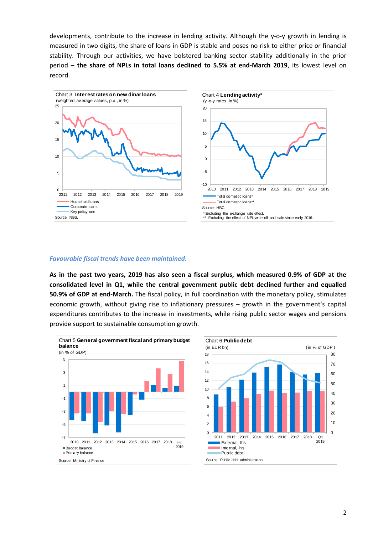developments, contribute to the increase in lending activity. Although the y-o-y growth in lending is measured in two digits, the share of loans in GDP is stable and poses no risk to either price or financial stability. Through our activities, we have bolstered banking sector stability additionally in the prior period – **the share of NPLs in total loans declined to 5.5% at end-March 2019**, its lowest level on record.





#### *Favourable fiscal trends have been maintained.*

**As in the past two years, 2019 has also seen a fiscal surplus, which measured 0.9% of GDP at the consolidated level in Q1, while the central government public debt declined further and equalled 50.9% of GDP at end-March.** The fiscal policy, in full coordination with the monetary policy, stimulates economic growth, without giving rise to inflationary pressures – growth in the government's capital expenditures contributes to the increase in investments, while rising public sector wages and pensions provide support to sustainable consumption growth.



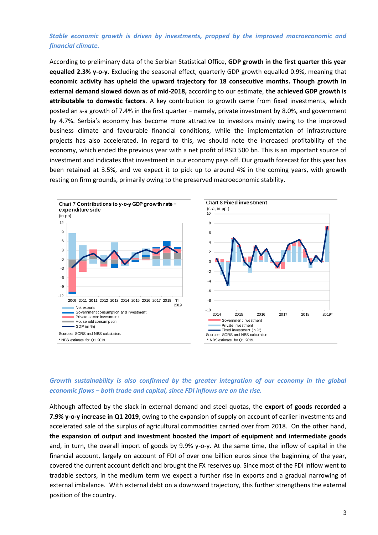## *Stable economic growth is driven by investments, propped by the improved macroeconomic and financial climate.*

According to preliminary data of the Serbian Statistical Office, **GDP growth in the first quarter this year equalled 2.3% y-o-y.** Excluding the seasonal effect, quarterly GDP growth equalled 0.9%, meaning that **economic activity has upheld the upward trajectory for 18 consecutive months. Though growth in external demand slowed down as of mid-2018,** according to our estimate, **the achieved GDP growth is attributable to domestic factors**. A key contribution to growth came from fixed investments, which posted an s-a growth of 7.4% in the first quarter – namely, private investment by 8.0%, and government by 4.7%. Serbia's economy has become more attractive to investors mainly owing to the improved business climate and favourable financial conditions, while the implementation of infrastructure projects has also accelerated. In regard to this, we should note the increased profitability of the economy, which ended the previous year with a net profit of RSD 500 bn. This is an important source of investment and indicates that investment in our economy pays off. Our growth forecast for this year has been retained at 3.5%, and we expect it to pick up to around 4% in the coming years, with growth resting on firm grounds, primarily owing to the preserved macroeconomic stability.



## *Growth sustainability is also confirmed by the greater integration of our economy in the global economic flows – both trade and capital, since FDI inflows are on the rise.*

Although affected by the slack in external demand and steel quotas, the **export of goods recorded a 7.9% y-o-y increase in Q1 2019**, owing to the expansion of supply on account of earlier investments and accelerated sale of the surplus of agricultural commodities carried over from 2018. On the other hand, **the expansion of output and investment boosted the import of equipment and intermediate goods** and, in turn, the overall import of goods by 9.9% y-o-y. At the same time, the inflow of capital in the financial account, largely on account of FDI of over one billion euros since the beginning of the year, covered the current account deficit and brought the FX reserves up. Since most of the FDI inflow went to tradable sectors, in the medium term we expect a further rise in exports and a gradual narrowing of external imbalance. With external debt on a downward trajectory, this further strengthens the external position of the country.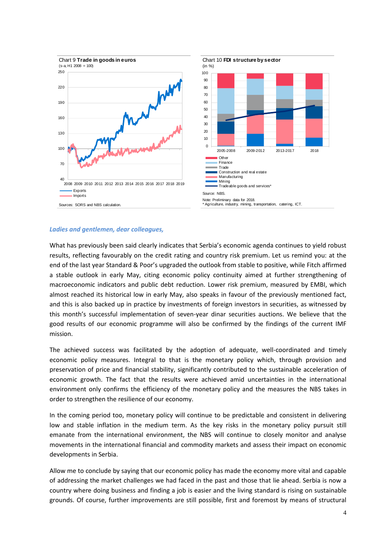

#### *Ladies and gentlemen, dear colleagues,*

What has previously been said clearly indicates that Serbia's economic agenda continues to yield robust results, reflecting favourably on the credit rating and country risk premium. Let us remind you: at the end of the last year Standard & Poor's upgraded the outlook from stable to positive, while Fitch affirmed a stable outlook in early May, citing economic policy continuity aimed at further strengthening of macroeconomic indicators and public debt reduction. Lower risk premium, measured by EMBI, which almost reached its historical low in early May, also speaks in favour of the previously mentioned fact, and this is also backed up in practice by investments of foreign investors in securities, as witnessed by this month's successful implementation of seven-year dinar securities auctions. We believe that the good results of our economic programme will also be confirmed by the findings of the current IMF mission.

The achieved success was facilitated by the adoption of adequate, well-coordinated and timely economic policy measures. Integral to that is the monetary policy which, through provision and preservation of price and financial stability, significantly contributed to the sustainable acceleration of economic growth. The fact that the results were achieved amid uncertainties in the international environment only confirms the efficiency of the monetary policy and the measures the NBS takes in order to strengthen the resilience of our economy.

In the coming period too, monetary policy will continue to be predictable and consistent in delivering low and stable inflation in the medium term. As the key risks in the monetary policy pursuit still emanate from the international environment, the NBS will continue to closely monitor and analyse movements in the international financial and commodity markets and assess their impact on economic developments in Serbia.

Allow me to conclude by saying that our economic policy has made the economy more vital and capable of addressing the market challenges we had faced in the past and those that lie ahead. Serbia is now a country where doing business and finding a job is easier and the living standard is rising on sustainable grounds. Of course, further improvements are still possible, first and foremost by means of structural